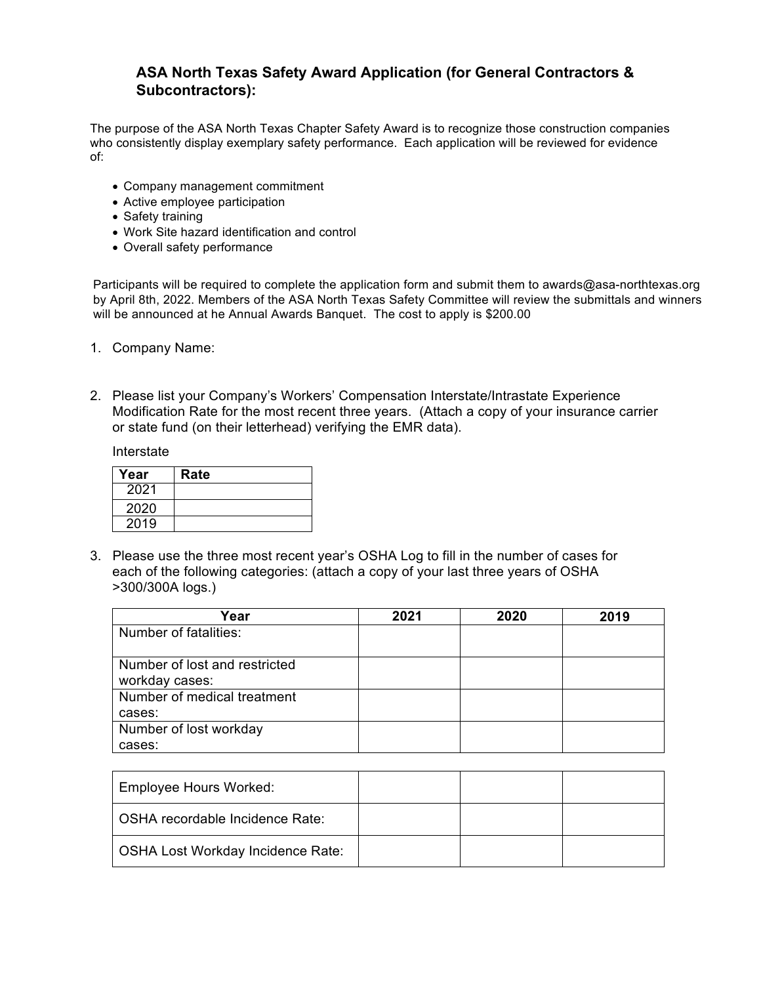## **ASA North Texas Safety Award Application (for General Contractors & Subcontractors):**

The purpose of the ASA North Texas Chapter Safety Award is to recognize those construction companies who consistently display exemplary safety performance. Each application will be reviewed for evidence of:

- Company management commitment
- Active employee participation
- Safety training
- Work Site hazard identification and control
- Overall safety performance

Participants will be required to complete the application form and submit them to awards@asa-northtexas.org by April 8th, 2022. Members of the ASA North Texas Safety Committee will review the submittals and winners will be announced at he Annual Awards Banquet. The cost to apply is \$200.00

- 1. Company Name:
- 2. Please list your Company's Workers' Compensation Interstate/Intrastate Experience Modification Rate for the most recent three years. (Attach a copy of your insurance carrier or state fund (on their letterhead) verifying the EMR data).

Interstate

| Year | Rate |
|------|------|
| 2021 |      |
| 2020 |      |
| 2019 |      |

3. Please use the three most recent year's OSHA Log to fill in the number of cases for each of the following categories: (attach a copy of your last three years of OSHA >300/300A logs.)

| Year                          | 2021 | 2020 | 2019 |
|-------------------------------|------|------|------|
| Number of fatalities:         |      |      |      |
|                               |      |      |      |
| Number of lost and restricted |      |      |      |
| workday cases:                |      |      |      |
| Number of medical treatment   |      |      |      |
| cases:                        |      |      |      |
| Number of lost workday        |      |      |      |
| cases:                        |      |      |      |

| <b>Employee Hours Worked:</b>            |  |  |
|------------------------------------------|--|--|
| OSHA recordable Incidence Rate:          |  |  |
| <b>OSHA Lost Workday Incidence Rate:</b> |  |  |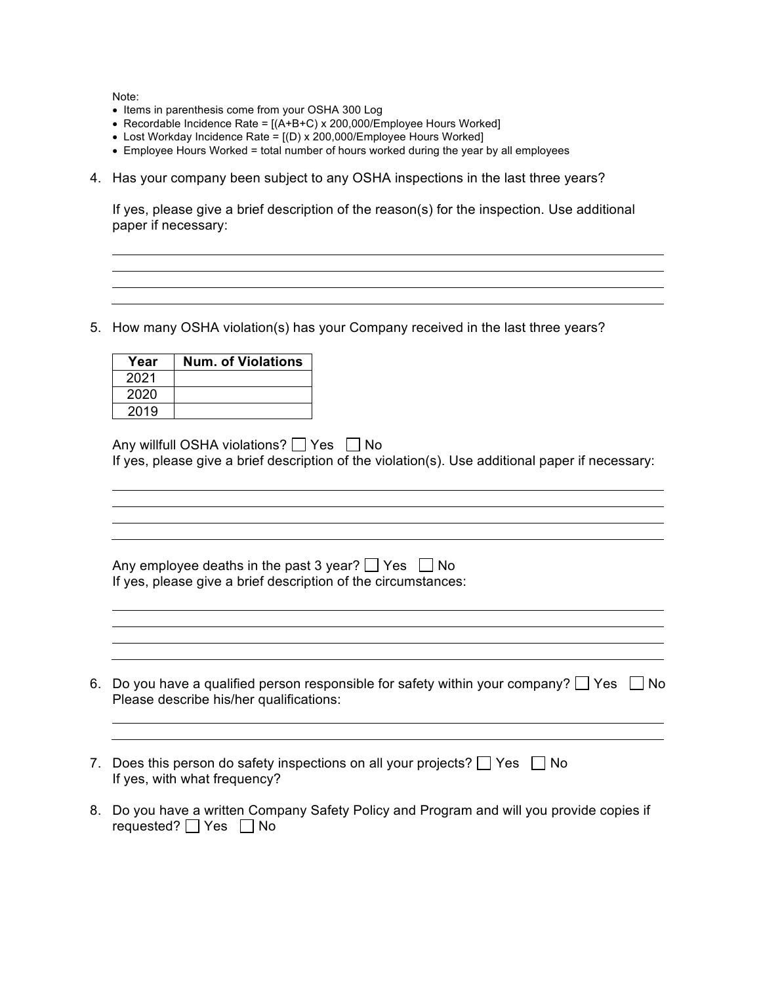Note:

- Items in parenthesis come from your OSHA 300 Log
- Recordable Incidence Rate =  $[(A+B+C) \times 200,000$ /Employee Hours Worked]
- Lost Workday Incidence Rate =  $[(D) \times 200,000$ /Employee Hours Worked]
- Employee Hours Worked = total number of hours worked during the year by all employees
- 4. Has your company been subject to any OSHA inspections in the last three years?

If yes, please give a brief description of the reason(s) for the inspection. Use additional paper if necessary:

5. How many OSHA violation(s) has your Company received in the last three years?

| Year | <b>Num. of Violations</b> |
|------|---------------------------|
| 2021 |                           |
| 2020 |                           |
| 2019 |                           |

Any willfull OSHA violations?  $\Box$  Yes  $\Box$  No If yes, please give a brief description of the violation(s). Use additional paper if necessary:

<u> 1989 - Johann Stein, marwolaethau a bhann an t-Amhair ann an t-Amhair an t-Amhair an t-Amhair an t-Amhair an</u>

<u> 1989 - Johann Stoff, amerikansk politiker (\* 1908)</u>

<u> 1980 - Johann Stoff, deutscher Stoffen und der Stoffen und der Stoffen und der Stoffen und der Stoffen und de</u>

| Any employee deaths in the past 3 year? $\Box$ Yes $\Box$ No  |  |
|---------------------------------------------------------------|--|
| If yes, please give a brief description of the circumstances: |  |

6. Do you have a qualified person responsible for safety within your company?  $\Box$  Yes  $\Box$  No Please describe his/her qualifications:

- 7. Does this person do safety inspections on all your projects?  $\Box$  Yes  $\Box$  No If yes, with what frequency?
- 8. Do you have a written Company Safety Policy and Program and will you provide copies if requested?  $\Box$  Yes  $\Box$  No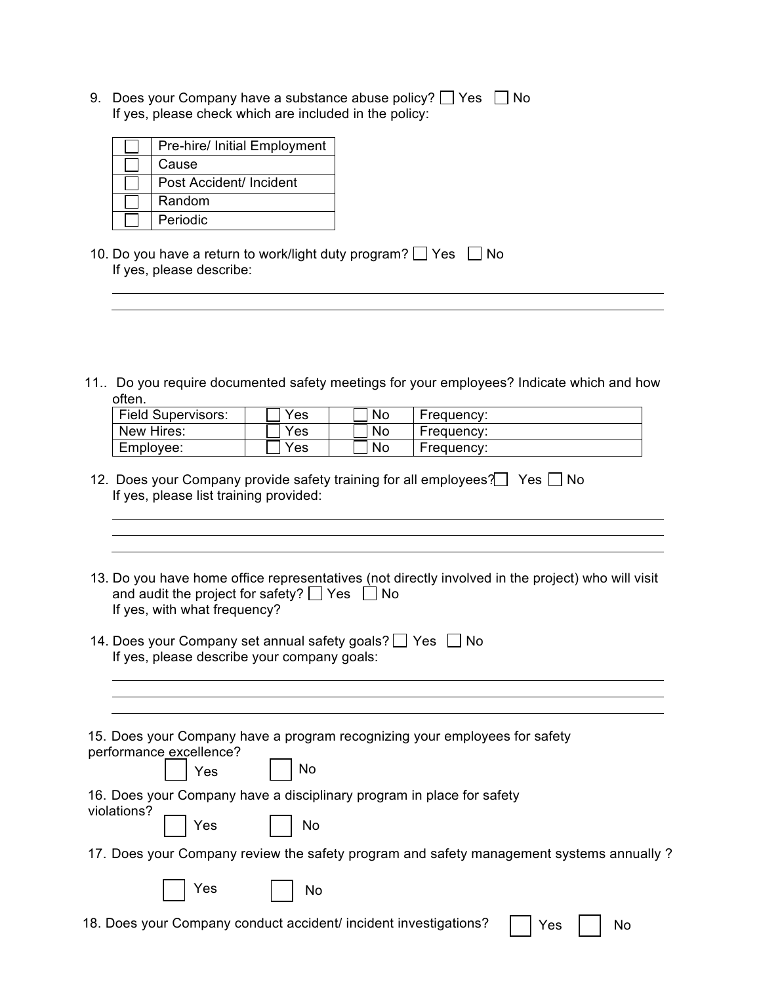9. Does your Company have a substance abuse policy?  $\Box$  Yes  $\Box$  No If yes, please check which are included in the policy:

| Pre-hire/ Initial Employment |
|------------------------------|
| Cause                        |
| Post Accident/ Incident      |
| Random                       |
| Periodic                     |

- 10. Do you have a return to work/light duty program?  $\Box$  Yes  $\Box$  No If yes, please describe:
- 11.. Do you require documented safety meetings for your employees? Indicate which and how often.

| <b>Field Supervisors:</b> | Yes | No | Frequency: |
|---------------------------|-----|----|------------|
| New Hires:                | Yes | No | Frequency: |
| Employee:                 | Yes | No | Frequency: |

- 12. Does your Company provide safety training for all employees?  $\Box$  Yes  $\Box$  No If yes, please list training provided:
- 13. Do you have home office representatives (not directly involved in the project) who will visit and audit the project for safety?  $\Box$  Yes  $\Box$  No If yes, with what frequency?
- 14. Does your Company set annual safety goals?  $\Box$  Yes  $\Box$  No If yes, please describe your company goals:

<u> 1980 - Johann Barn, mars ann an t-Amhain Aonaich an t-Aonaich an t-Aonaich ann an t-Aonaich ann an t-Aonaich</u>

| 15. Does your Company have a program recognizing your employees for safety<br>performance excellence?<br>Pes No |
|-----------------------------------------------------------------------------------------------------------------|
| 16. Does your Company have a disciplinary program in place for safety                                           |
| violations?<br>$\Box$ Yes $\Box$ No                                                                             |
| 17. Does your Company review the safety program and safety management systems annually?                         |
| $ $ Yes<br>No                                                                                                   |
| 18. Does your Company conduct accident/ incident investigations?  <br>Yes<br>No                                 |